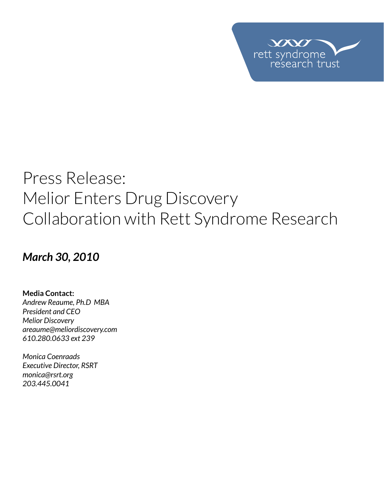

# Press Release: Melior Enters Drug Discovery Collaboration with Rett Syndrome Research

## *March 30, 2010*

**Media Contact:**  *Andrew Reaume, Ph.D MBA President and CEO Melior Discovery areaume@meliordiscovery.com 610.280.0633 ext 239*

*Monica Coenraads Executive Director, RSRT monica@rsrt.org 203.445.0041*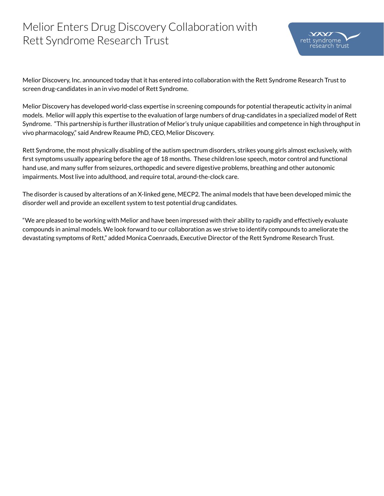### Melior Enters Drug Discovery Collaboration with Rett Syndrome Research Trust

Melior Discovery, Inc. announced today that it has entered into collaboration with the Rett Syndrome Research Trust to screen drug-candidates in an in vivo model of Rett Syndrome.

Melior Discovery has developed world-class expertise in screening compounds for potential therapeutic activity in animal models. Melior will apply this expertise to the evaluation of large numbers of drug-candidates in a specialized model of Rett Syndrome. "This partnership is further illustration of Melior's truly unique capabilities and competence in high throughput in vivo pharmacology," said Andrew Reaume PhD, CEO, Melior Discovery.

Rett Syndrome, the most physically disabling of the autism spectrum disorders, strikes young girls almost exclusively, with first symptoms usually appearing before the age of 18 months. These children lose speech, motor control and functional hand use, and many suffer from seizures, orthopedic and severe digestive problems, breathing and other autonomic impairments. Most live into adulthood, and require total, around-the-clock care.

The disorder is caused by alterations of an X-linked gene, MECP2. The animal models that have been developed mimic the disorder well and provide an excellent system to test potential drug candidates.

"We are pleased to be working with Melior and have been impressed with their ability to rapidly and effectively evaluate compounds in animal models. We look forward to our collaboration as we strive to identify compounds to ameliorate the devastating symptoms of Rett," added Monica Coenraads, Executive Director of the Rett Syndrome Research Trust.